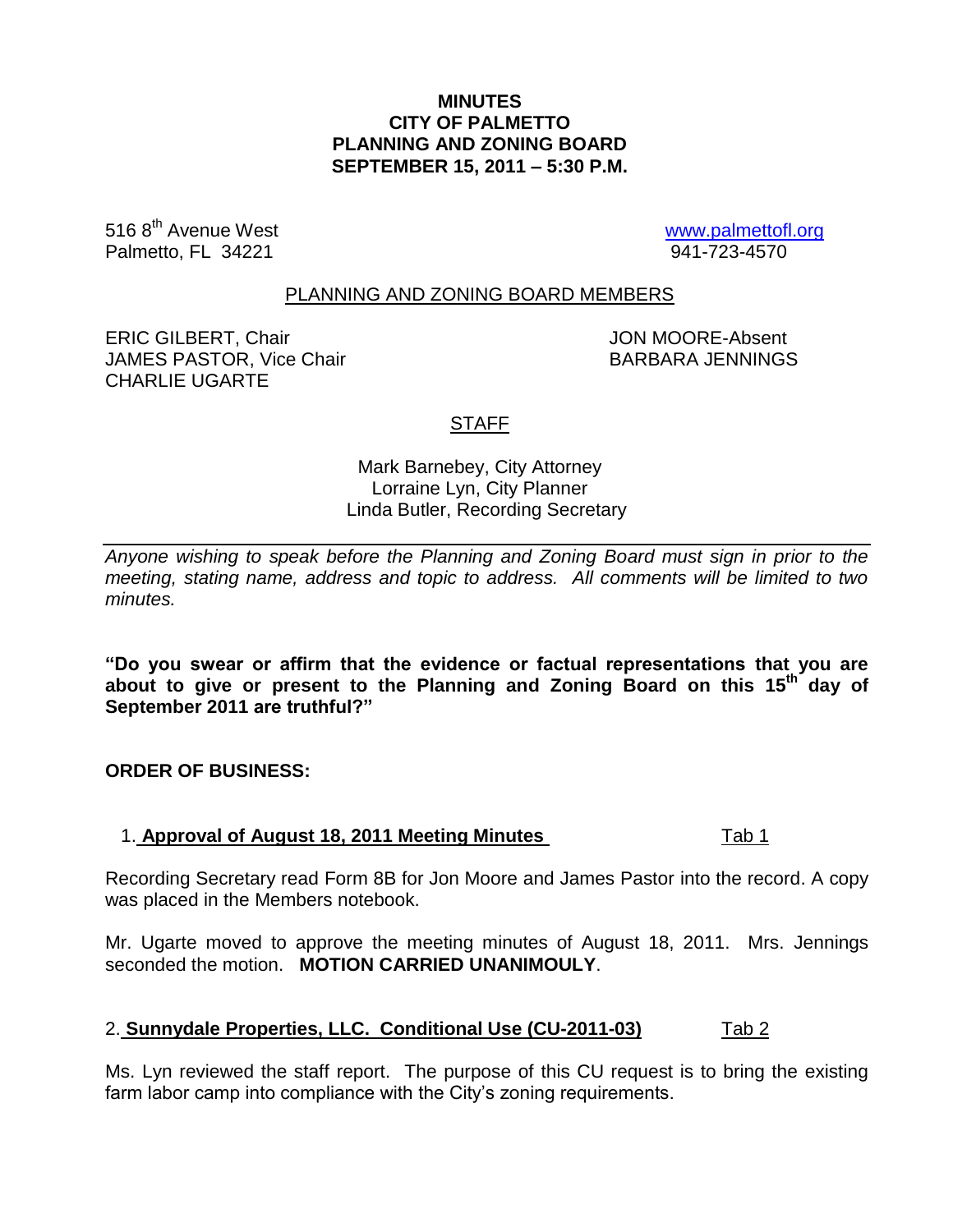## **MINUTES CITY OF PALMETTO PLANNING AND ZONING BOARD SEPTEMBER 15, 2011 – 5:30 P.M.**

516 8<sup>th</sup> Avenue West <u>[www.palmettofl.org](http://www.palmettofl.org/)</u><br>Palmetto. Fl 34221 Palmetto, FL 34221

#### PLANNING AND ZONING BOARD MEMBERS

ERIC GILBERT, Chair JON MOORE-Absent JAMES PASTOR, Vice Chair BARBARA JENNINGS CHARLIE UGARTE

## STAFF

## Mark Barnebey, City Attorney Lorraine Lyn, City Planner Linda Butler, Recording Secretary

*Anyone wishing to speak before the Planning and Zoning Board must sign in prior to the meeting, stating name, address and topic to address. All comments will be limited to two minutes.*

**"Do you swear or affirm that the evidence or factual representations that you are about to give or present to the Planning and Zoning Board on this 15 th day of September 2011 are truthful?"**

**ORDER OF BUSINESS:**

#### 1. **Approval of August 18, 2011 Meeting Minutes** Tab 1

Recording Secretary read Form 8B for Jon Moore and James Pastor into the record. A copy was placed in the Members notebook.

Mr. Ugarte moved to approve the meeting minutes of August 18, 2011. Mrs. Jennings seconded the motion. **MOTION CARRIED UNANIMOULY**.

# 2. **Sunnydale Properties, LLC. Conditional Use (CU-2011-03)** Tab 2

Ms. Lyn reviewed the staff report. The purpose of this CU request is to bring the existing farm labor camp into compliance with the City's zoning requirements.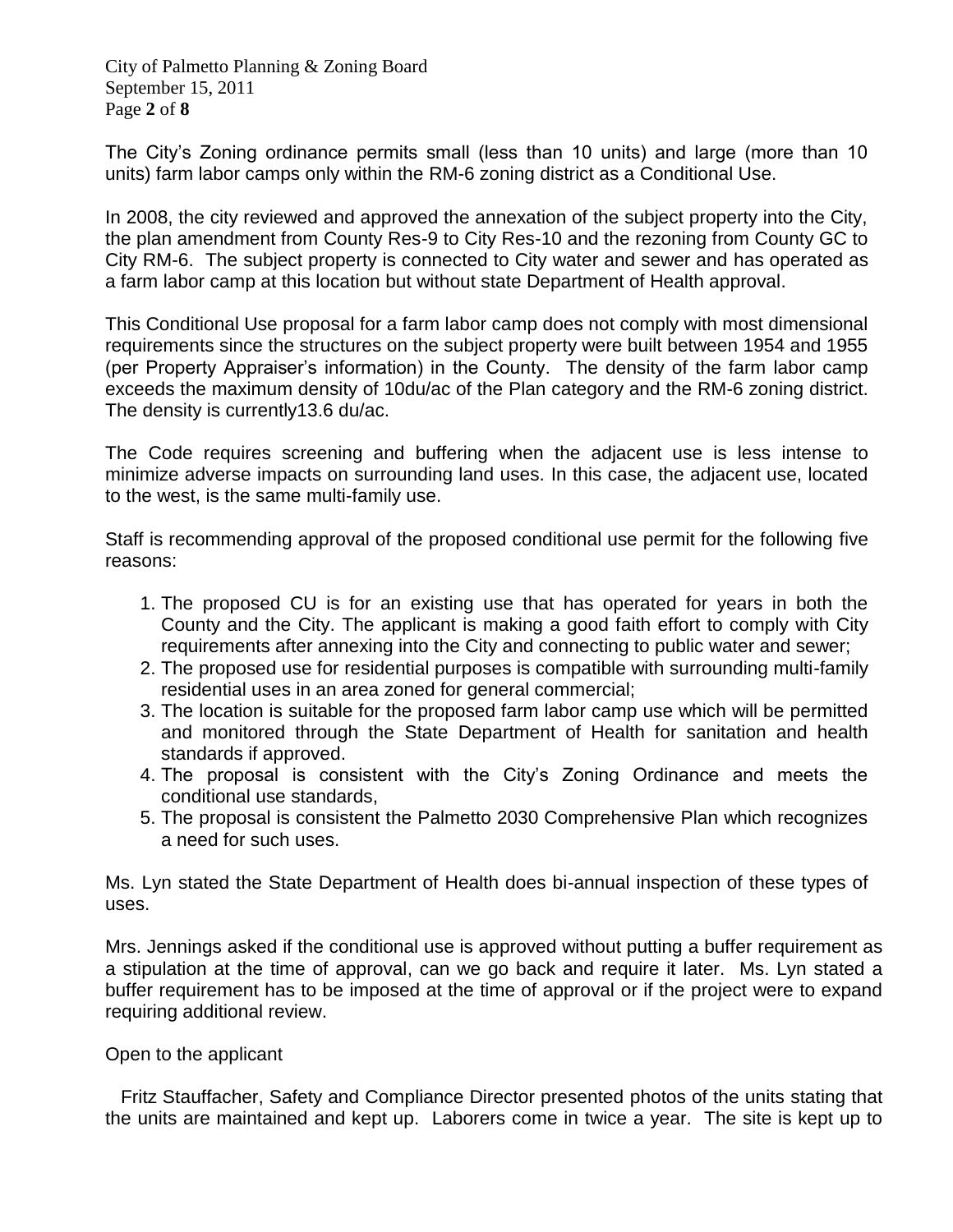City of Palmetto Planning & Zoning Board September 15, 2011 Page **2** of **8**

The City's Zoning ordinance permits small (less than 10 units) and large (more than 10 units) farm labor camps only within the RM-6 zoning district as a Conditional Use.

In 2008, the city reviewed and approved the annexation of the subject property into the City, the plan amendment from County Res-9 to City Res-10 and the rezoning from County GC to City RM-6. The subject property is connected to City water and sewer and has operated as a farm labor camp at this location but without state Department of Health approval.

This Conditional Use proposal for a farm labor camp does not comply with most dimensional requirements since the structures on the subject property were built between 1954 and 1955 (per Property Appraiser's information) in the County. The density of the farm labor camp exceeds the maximum density of 10du/ac of the Plan category and the RM-6 zoning district. The density is currently13.6 du/ac.

The Code requires screening and buffering when the adjacent use is less intense to minimize adverse impacts on surrounding land uses. In this case, the adjacent use, located to the west, is the same multi-family use.

Staff is recommending approval of the proposed conditional use permit for the following five reasons:

- 1. The proposed CU is for an existing use that has operated for years in both the County and the City. The applicant is making a good faith effort to comply with City requirements after annexing into the City and connecting to public water and sewer;
- 2. The proposed use for residential purposes is compatible with surrounding multi-family residential uses in an area zoned for general commercial;
- 3. The location is suitable for the proposed farm labor camp use which will be permitted and monitored through the State Department of Health for sanitation and health standards if approved.
- 4. The proposal is consistent with the City's Zoning Ordinance and meets the conditional use standards,
- 5. The proposal is consistent the Palmetto 2030 Comprehensive Plan which recognizes a need for such uses.

Ms. Lyn stated the State Department of Health does bi-annual inspection of these types of uses.

Mrs. Jennings asked if the conditional use is approved without putting a buffer requirement as a stipulation at the time of approval, can we go back and require it later. Ms. Lyn stated a buffer requirement has to be imposed at the time of approval or if the project were to expand requiring additional review.

Open to the applicant

 Fritz Stauffacher, Safety and Compliance Director presented photos of the units stating that the units are maintained and kept up. Laborers come in twice a year. The site is kept up to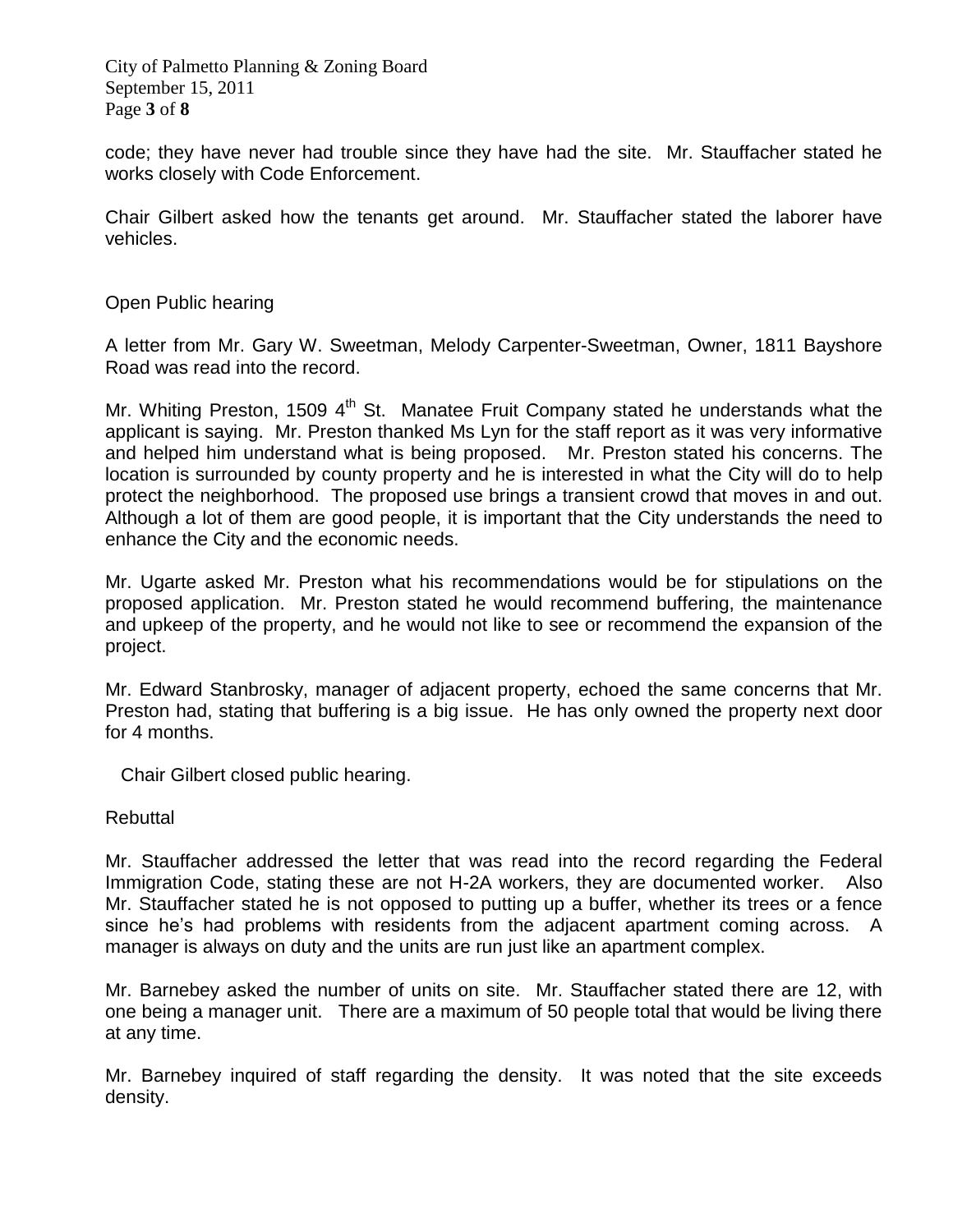City of Palmetto Planning & Zoning Board September 15, 2011 Page **3** of **8**

code; they have never had trouble since they have had the site. Mr. Stauffacher stated he works closely with Code Enforcement.

Chair Gilbert asked how the tenants get around. Mr. Stauffacher stated the laborer have vehicles.

## Open Public hearing

A letter from Mr. Gary W. Sweetman, Melody Carpenter-Sweetman, Owner, 1811 Bayshore Road was read into the record.

Mr. Whiting Preston, 1509 4<sup>th</sup> St. Manatee Fruit Company stated he understands what the applicant is saying. Mr. Preston thanked Ms Lyn for the staff report as it was very informative and helped him understand what is being proposed. Mr. Preston stated his concerns. The location is surrounded by county property and he is interested in what the City will do to help protect the neighborhood. The proposed use brings a transient crowd that moves in and out. Although a lot of them are good people, it is important that the City understands the need to enhance the City and the economic needs.

Mr. Ugarte asked Mr. Preston what his recommendations would be for stipulations on the proposed application. Mr. Preston stated he would recommend buffering, the maintenance and upkeep of the property, and he would not like to see or recommend the expansion of the project.

Mr. Edward Stanbrosky, manager of adjacent property, echoed the same concerns that Mr. Preston had, stating that buffering is a big issue. He has only owned the property next door for 4 months.

Chair Gilbert closed public hearing.

#### Rebuttal

Mr. Stauffacher addressed the letter that was read into the record regarding the Federal Immigration Code, stating these are not H-2A workers, they are documented worker. Also Mr. Stauffacher stated he is not opposed to putting up a buffer, whether its trees or a fence since he's had problems with residents from the adjacent apartment coming across. A manager is always on duty and the units are run just like an apartment complex.

Mr. Barnebey asked the number of units on site. Mr. Stauffacher stated there are 12, with one being a manager unit. There are a maximum of 50 people total that would be living there at any time.

Mr. Barnebey inquired of staff regarding the density. It was noted that the site exceeds density.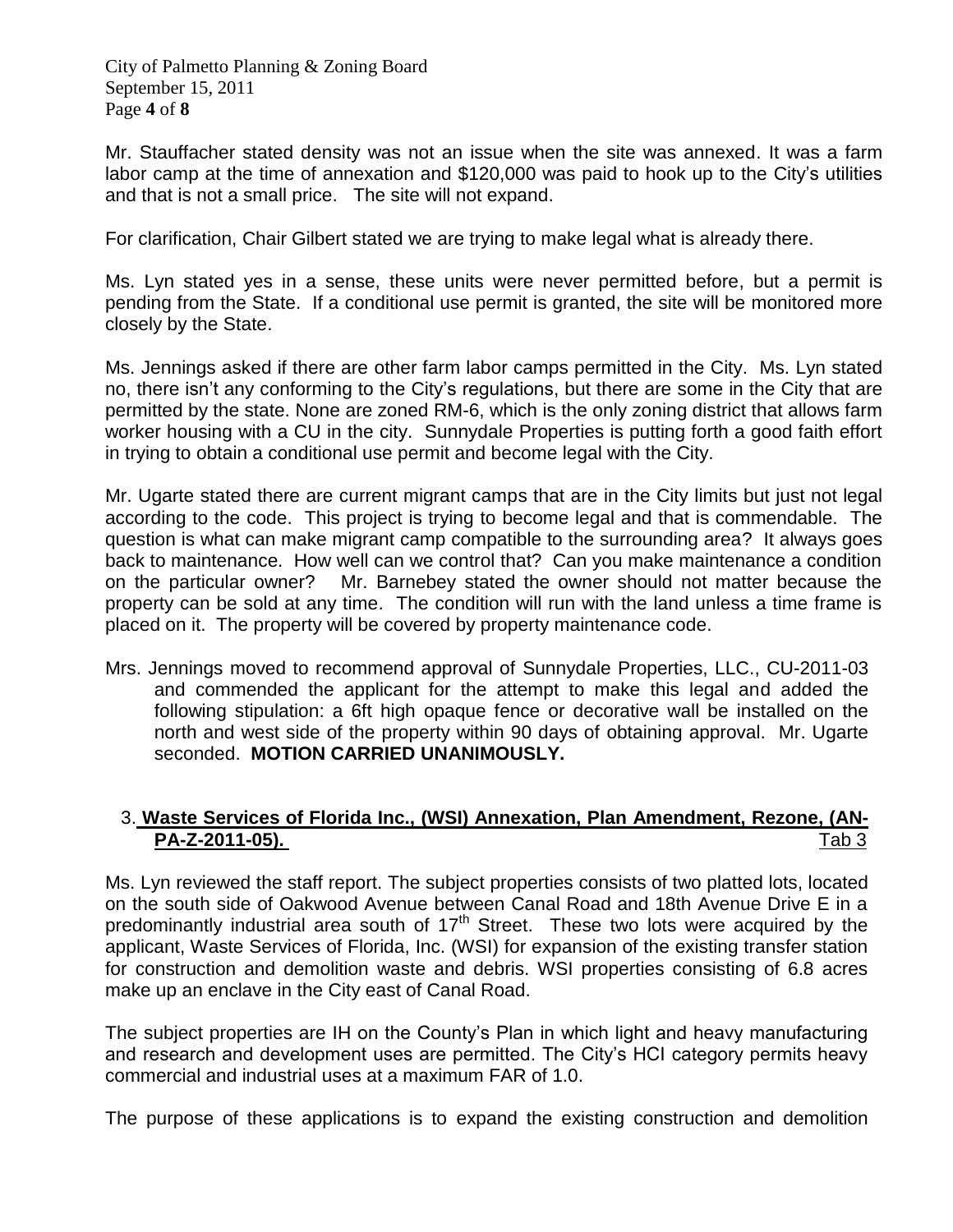City of Palmetto Planning & Zoning Board September 15, 2011 Page **4** of **8**

Mr. Stauffacher stated density was not an issue when the site was annexed. It was a farm labor camp at the time of annexation and \$120,000 was paid to hook up to the City's utilities and that is not a small price. The site will not expand.

For clarification, Chair Gilbert stated we are trying to make legal what is already there.

Ms. Lyn stated yes in a sense, these units were never permitted before, but a permit is pending from the State. If a conditional use permit is granted, the site will be monitored more closely by the State.

Ms. Jennings asked if there are other farm labor camps permitted in the City. Ms. Lyn stated no, there isn't any conforming to the City's regulations, but there are some in the City that are permitted by the state. None are zoned RM-6, which is the only zoning district that allows farm worker housing with a CU in the city. Sunnydale Properties is putting forth a good faith effort in trying to obtain a conditional use permit and become legal with the City.

Mr. Ugarte stated there are current migrant camps that are in the City limits but just not legal according to the code. This project is trying to become legal and that is commendable. The question is what can make migrant camp compatible to the surrounding area? It always goes back to maintenance. How well can we control that? Can you make maintenance a condition on the particular owner? Mr. Barnebey stated the owner should not matter because the property can be sold at any time. The condition will run with the land unless a time frame is placed on it. The property will be covered by property maintenance code.

Mrs. Jennings moved to recommend approval of Sunnydale Properties, LLC., CU-2011-03 and commended the applicant for the attempt to make this legal and added the following stipulation: a 6ft high opaque fence or decorative wall be installed on the north and west side of the property within 90 days of obtaining approval. Mr. Ugarte seconded. **MOTION CARRIED UNANIMOUSLY.**

# 3. **Waste Services of Florida Inc., (WSI) Annexation, Plan Amendment, Rezone, (AN-PA-Z-2011-05).** Tab 3

Ms. Lyn reviewed the staff report. The subject properties consists of two platted lots, located on the south side of Oakwood Avenue between Canal Road and 18th Avenue Drive E in a predominantly industrial area south of  $17<sup>th</sup>$  Street. These two lots were acquired by the applicant, Waste Services of Florida, Inc. (WSI) for expansion of the existing transfer station for construction and demolition waste and debris. WSI properties consisting of 6.8 acres make up an enclave in the City east of Canal Road.

The subject properties are IH on the County's Plan in which light and heavy manufacturing and research and development uses are permitted. The City's HCI category permits heavy commercial and industrial uses at a maximum FAR of 1.0.

The purpose of these applications is to expand the existing construction and demolition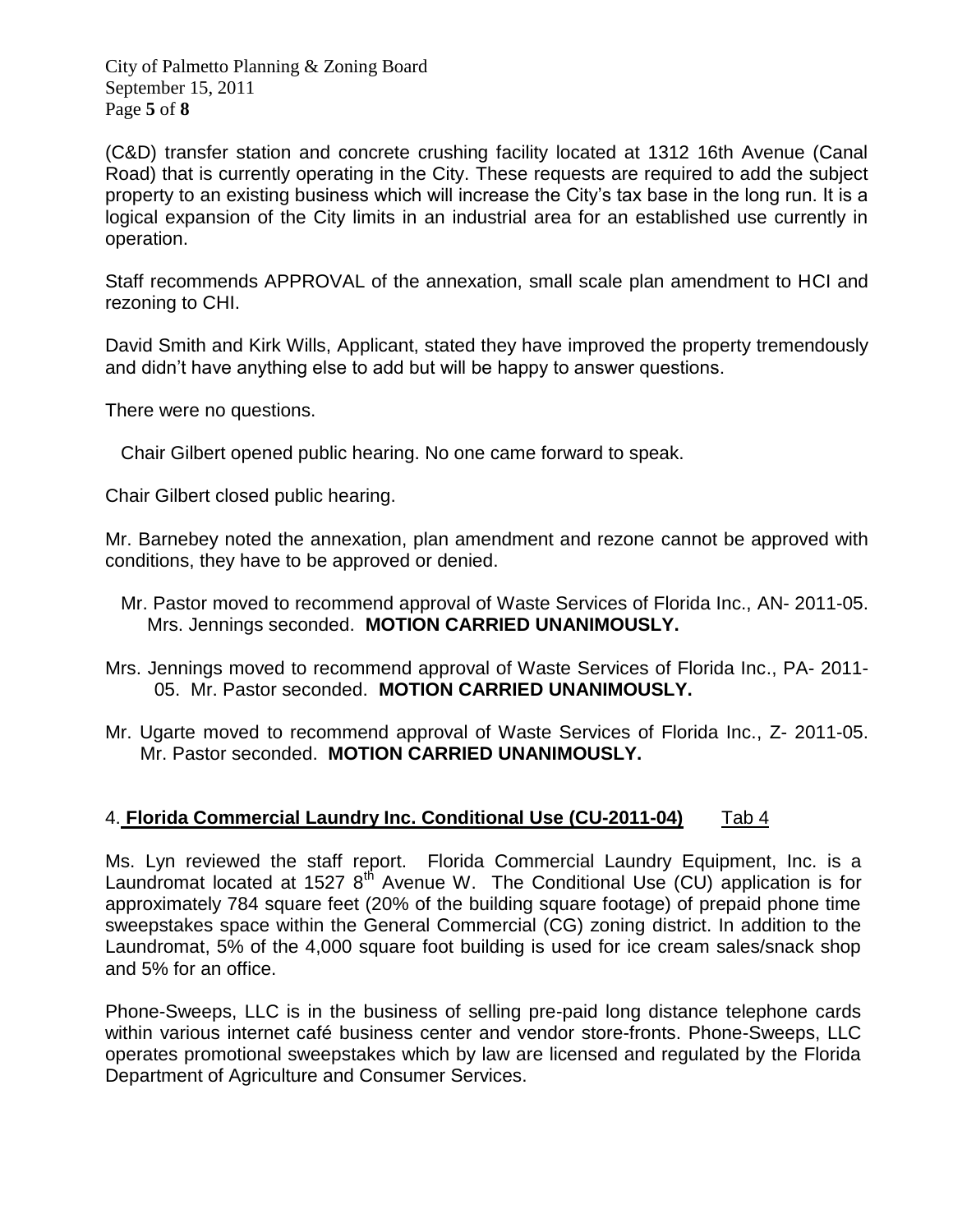City of Palmetto Planning & Zoning Board September 15, 2011 Page **5** of **8**

(C&D) transfer station and concrete crushing facility located at 1312 16th Avenue (Canal Road) that is currently operating in the City. These requests are required to add the subject property to an existing business which will increase the City's tax base in the long run. It is a logical expansion of the City limits in an industrial area for an established use currently in operation.

Staff recommends APPROVAL of the annexation, small scale plan amendment to HCI and rezoning to CHI.

David Smith and Kirk Wills, Applicant, stated they have improved the property tremendously and didn't have anything else to add but will be happy to answer questions.

There were no questions.

Chair Gilbert opened public hearing. No one came forward to speak.

Chair Gilbert closed public hearing.

Mr. Barnebey noted the annexation, plan amendment and rezone cannot be approved with conditions, they have to be approved or denied.

- Mr. Pastor moved to recommend approval of Waste Services of Florida Inc., AN- 2011-05. Mrs. Jennings seconded. **MOTION CARRIED UNANIMOUSLY.**
- Mrs. Jennings moved to recommend approval of Waste Services of Florida Inc., PA- 2011- 05. Mr. Pastor seconded. **MOTION CARRIED UNANIMOUSLY.**
- Mr. Ugarte moved to recommend approval of Waste Services of Florida Inc., Z- 2011-05. Mr. Pastor seconded. **MOTION CARRIED UNANIMOUSLY.**

# 4. **Florida Commercial Laundry Inc. Conditional Use (CU-2011-04)** Tab 4

Ms. Lyn reviewed the staff report. Florida Commercial Laundry Equipment, Inc. is a Laundromat located at 1527  $8<sup>th</sup>$  Avenue W. The Conditional Use (CU) application is for approximately 784 square feet (20% of the building square footage) of prepaid phone time sweepstakes space within the General Commercial (CG) zoning district. In addition to the Laundromat, 5% of the 4,000 square foot building is used for ice cream sales/snack shop and 5% for an office.

Phone-Sweeps, LLC is in the business of selling pre-paid long distance telephone cards within various internet café business center and vendor store-fronts. Phone-Sweeps, LLC operates promotional sweepstakes which by law are licensed and regulated by the Florida Department of Agriculture and Consumer Services.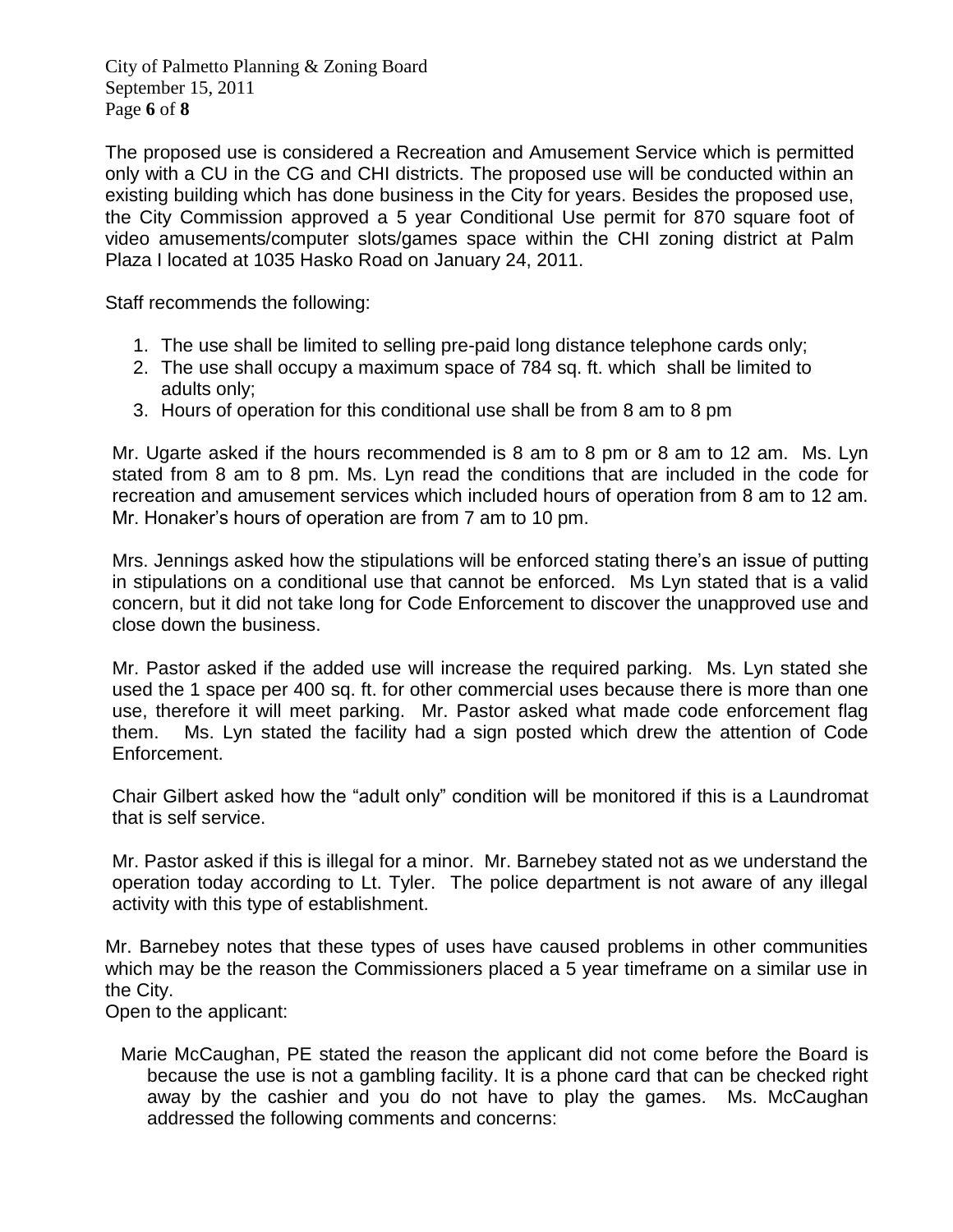City of Palmetto Planning & Zoning Board September 15, 2011 Page **6** of **8**

The proposed use is considered a Recreation and Amusement Service which is permitted only with a CU in the CG and CHI districts. The proposed use will be conducted within an existing building which has done business in the City for years. Besides the proposed use, the City Commission approved a 5 year Conditional Use permit for 870 square foot of video amusements/computer slots/games space within the CHI zoning district at Palm Plaza I located at 1035 Hasko Road on January 24, 2011.

Staff recommends the following:

- 1. The use shall be limited to selling pre-paid long distance telephone cards only;
- 2. The use shall occupy a maximum space of 784 sq. ft. which shall be limited to adults only;
- 3. Hours of operation for this conditional use shall be from 8 am to 8 pm

Mr. Ugarte asked if the hours recommended is 8 am to 8 pm or 8 am to 12 am. Ms. Lyn stated from 8 am to 8 pm. Ms. Lyn read the conditions that are included in the code for recreation and amusement services which included hours of operation from 8 am to 12 am. Mr. Honaker's hours of operation are from 7 am to 10 pm.

Mrs. Jennings asked how the stipulations will be enforced stating there's an issue of putting in stipulations on a conditional use that cannot be enforced. Ms Lyn stated that is a valid concern, but it did not take long for Code Enforcement to discover the unapproved use and close down the business.

Mr. Pastor asked if the added use will increase the required parking. Ms. Lyn stated she used the 1 space per 400 sq. ft. for other commercial uses because there is more than one use, therefore it will meet parking. Mr. Pastor asked what made code enforcement flag them. Ms. Lyn stated the facility had a sign posted which drew the attention of Code Enforcement.

Chair Gilbert asked how the "adult only" condition will be monitored if this is a Laundromat that is self service.

Mr. Pastor asked if this is illegal for a minor. Mr. Barnebey stated not as we understand the operation today according to Lt. Tyler. The police department is not aware of any illegal activity with this type of establishment.

Mr. Barnebey notes that these types of uses have caused problems in other communities which may be the reason the Commissioners placed a 5 year timeframe on a similar use in the City.

Open to the applicant:

 Marie McCaughan, PE stated the reason the applicant did not come before the Board is because the use is not a gambling facility. It is a phone card that can be checked right away by the cashier and you do not have to play the games. Ms. McCaughan addressed the following comments and concerns: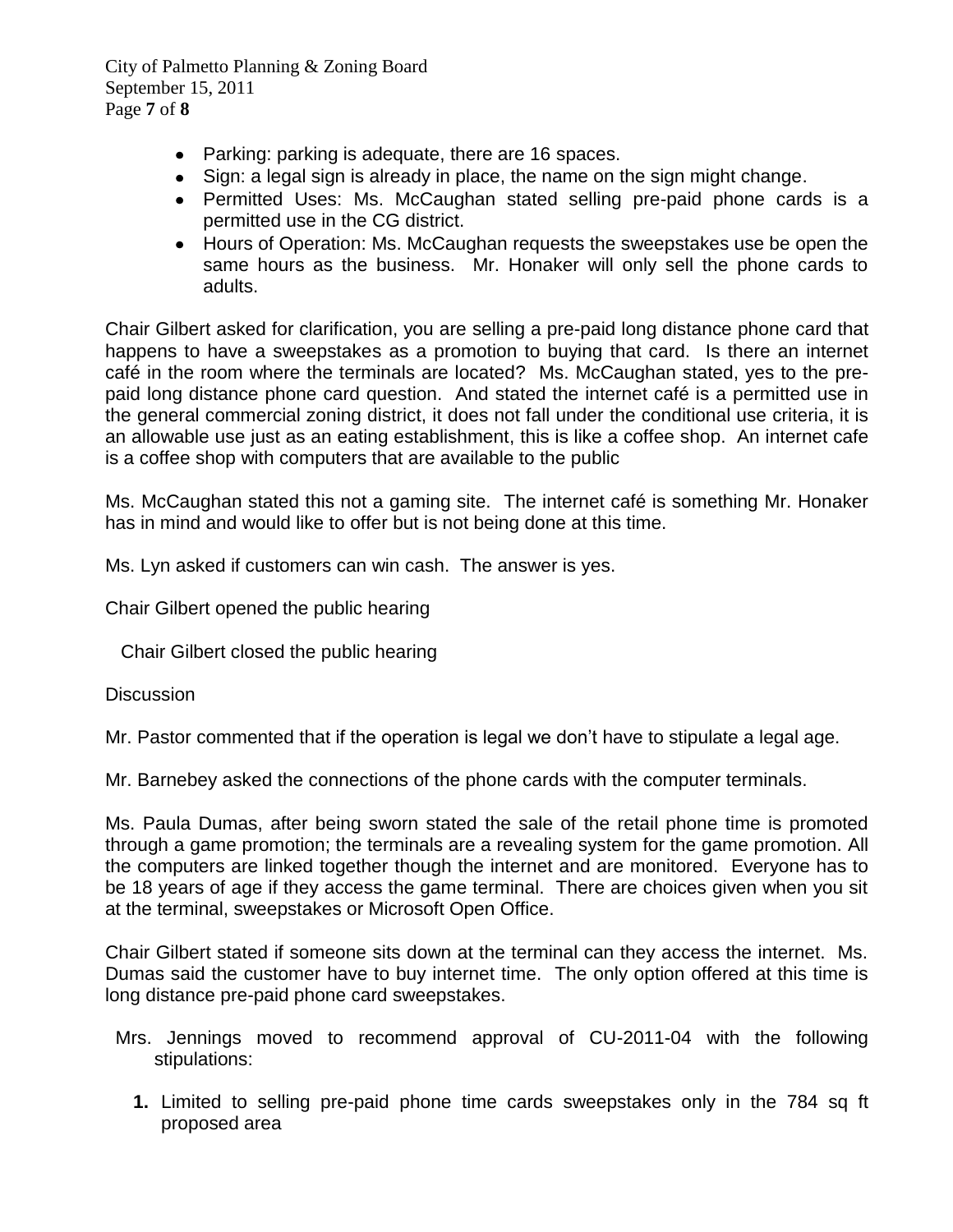City of Palmetto Planning & Zoning Board September 15, 2011 Page **7** of **8**

- Parking: parking is adequate, there are 16 spaces.
- Sign: a legal sign is already in place, the name on the sign might change.
- Permitted Uses: Ms. McCaughan stated selling pre-paid phone cards is a permitted use in the CG district.
- Hours of Operation: Ms. McCaughan requests the sweepstakes use be open the same hours as the business. Mr. Honaker will only sell the phone cards to adults.

Chair Gilbert asked for clarification, you are selling a pre-paid long distance phone card that happens to have a sweepstakes as a promotion to buying that card. Is there an internet café in the room where the terminals are located? Ms. McCaughan stated, yes to the prepaid long distance phone card question. And stated the internet café is a permitted use in the general commercial zoning district, it does not fall under the conditional use criteria, it is an allowable use just as an eating establishment, this is like a coffee shop. An internet cafe is a coffee shop with computers that are available to the public

Ms. McCaughan stated this not a gaming site. The internet café is something Mr. Honaker has in mind and would like to offer but is not being done at this time.

Ms. Lyn asked if customers can win cash. The answer is yes.

Chair Gilbert opened the public hearing

Chair Gilbert closed the public hearing

**Discussion** 

Mr. Pastor commented that if the operation is legal we don't have to stipulate a legal age.

Mr. Barnebey asked the connections of the phone cards with the computer terminals.

Ms. Paula Dumas, after being sworn stated the sale of the retail phone time is promoted through a game promotion; the terminals are a revealing system for the game promotion. All the computers are linked together though the internet and are monitored. Everyone has to be 18 years of age if they access the game terminal. There are choices given when you sit at the terminal, sweepstakes or Microsoft Open Office.

Chair Gilbert stated if someone sits down at the terminal can they access the internet. Ms. Dumas said the customer have to buy internet time. The only option offered at this time is long distance pre-paid phone card sweepstakes.

- Mrs. Jennings moved to recommend approval of CU-2011-04 with the following stipulations:
	- **1.** Limited to selling pre-paid phone time cards sweepstakes only in the 784 sq ft proposed area